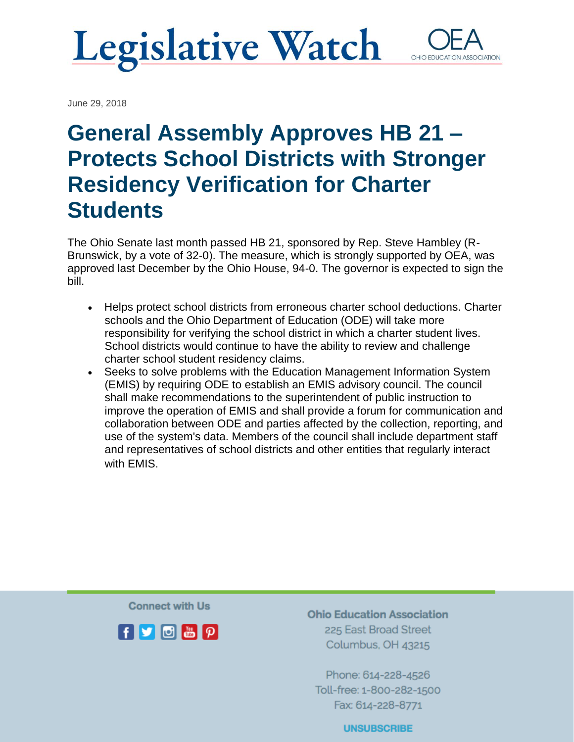### **Legislative Watch** OHIO EDUCATIO

June 29, 2018

# **General Assembly Approves HB 21 – Protects School Districts with Stronger Residency Verification for Charter Students**

The Ohio Senate last month passed HB 21, sponsored by Rep. Steve Hambley (R-Brunswick, by a vote of 32-0). The measure, which is strongly supported by OEA, was approved last December by the Ohio House, 94-0. The governor is expected to sign the bill.

- Helps protect school districts from erroneous charter school deductions. Charter schools and the Ohio Department of Education (ODE) will take more responsibility for verifying the school district in which a charter student lives. School districts would continue to have the ability to review and challenge charter school student residency claims.
- Seeks to solve problems with the Education Management Information System (EMIS) by requiring ODE to establish an EMIS advisory council. The council shall make recommendations to the superintendent of public instruction to improve the operation of EMIS and shall provide a forum for communication and collaboration between ODE and parties affected by the collection, reporting, and use of the system's data. Members of the council shall include department staff and representatives of school districts and other entities that regularly interact with EMIS.

**Connect with Us** 



**Ohio Education Association** 225 East Broad Street Columbus, OH 43215

Phone: 614-228-4526 Toll-free: 1-800-282-1500 Fax: 614-228-8771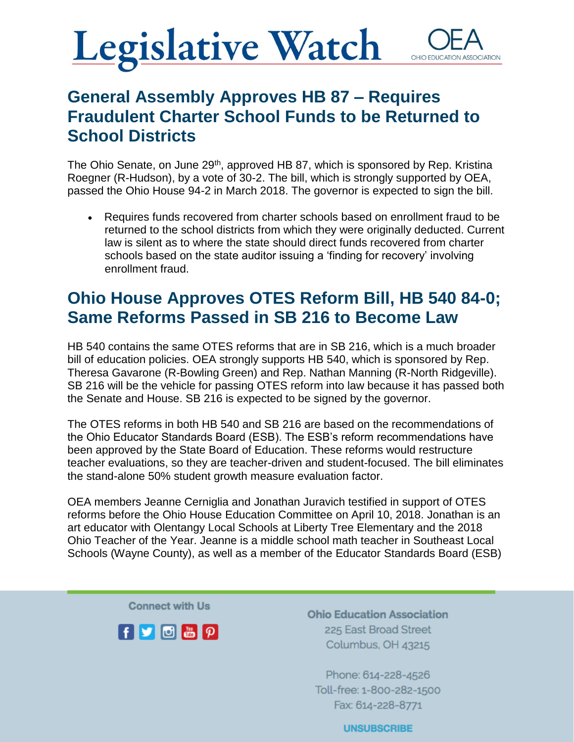### **Legislative Watch** OHIO EDUCATI

### **General Assembly Approves HB 87 – Requires Fraudulent Charter School Funds to be Returned to School Districts**

The Ohio Senate, on June 29<sup>th</sup>, approved HB 87, which is sponsored by Rep. Kristina Roegner (R-Hudson), by a vote of 30-2. The bill, which is strongly supported by OEA, passed the Ohio House 94-2 in March 2018. The governor is expected to sign the bill.

• Requires funds recovered from charter schools based on enrollment fraud to be returned to the school districts from which they were originally deducted. Current law is silent as to where the state should direct funds recovered from charter schools based on the state auditor issuing a 'finding for recovery' involving enrollment fraud.

### **Ohio House Approves OTES Reform Bill, HB 540 84-0; Same Reforms Passed in SB 216 to Become Law**

HB 540 contains the same OTES reforms that are in SB 216, which is a much broader bill of education policies. OEA strongly supports HB 540, which is sponsored by Rep. Theresa Gavarone (R-Bowling Green) and Rep. Nathan Manning (R-North Ridgeville). SB 216 will be the vehicle for passing OTES reform into law because it has passed both the Senate and House. SB 216 is expected to be signed by the governor.

The OTES reforms in both HB 540 and SB 216 are based on the recommendations of the Ohio Educator Standards Board (ESB). The ESB's reform recommendations have been approved by the State Board of Education. These reforms would restructure teacher evaluations, so they are teacher-driven and student-focused. The bill eliminates the stand-alone 50% student growth measure evaluation factor.

OEA members Jeanne Cerniglia and Jonathan Juravich testified in support of OTES reforms before the Ohio House Education Committee on April 10, 2018. Jonathan is an art educator with Olentangy Local Schools at Liberty Tree Elementary and the 2018 Ohio Teacher of the Year. Jeanne is a middle school math teacher in Southeast Local Schools (Wayne County), as well as a member of the Educator Standards Board (ESB)

**Connect with Us** 



**Ohio Education Association** 225 East Broad Street Columbus, OH 43215

Phone: 614-228-4526 Toll-free: 1-800-282-1500 Fax: 614-228-8771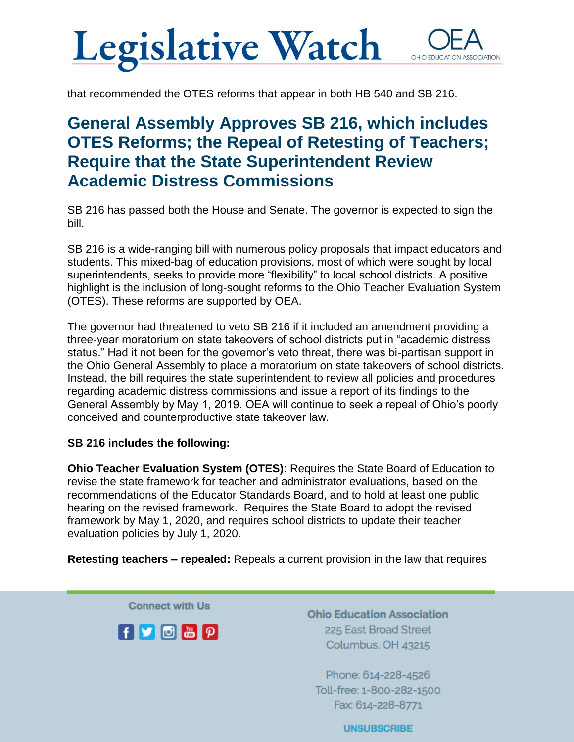## **Legislative Watch** OHIO EDUC

that recommended the OTES reforms that appear in both HB 540 and SB 216.

### **General Assembly Approves SB 216, which includes OTES Reforms; the Repeal of Retesting of Teachers; Require that the State Superintendent Review Academic Distress Commissions**

SB 216 has passed both the House and Senate. The governor is expected to sign the bill.

SB 216 is a wide-ranging bill with numerous policy proposals that impact educators and students. This mixed-bag of education provisions, most of which were sought by local superintendents, seeks to provide more "flexibility" to local school districts. A positive highlight is the inclusion of long-sought reforms to the Ohio Teacher Evaluation System (OTES). These reforms are supported by OEA.

The governor had threatened to veto SB 216 if it included an amendment providing a three-year moratorium on state takeovers of school districts put in "academic distress status." Had it not been for the governor's veto threat, there was bi-partisan support in the Ohio General Assembly to place a moratorium on state takeovers of school districts. Instead, the bill requires the state superintendent to review all policies and procedures regarding academic distress commissions and issue a report of its findings to the General Assembly by May 1, 2019. OEA will continue to seek a repeal of Ohio's poorly conceived and counterproductive state takeover law.

#### **SB 216 includes the following:**

**Ohio Teacher Evaluation System (OTES)**: Requires the State Board of Education to revise the state framework for teacher and administrator evaluations, based on the recommendations of the Educator Standards Board, and to hold at least one public hearing on the revised framework. Requires the State Board to adopt the revised framework by May 1, 2020, and requires school districts to update their teacher evaluation policies by July 1, 2020.

**Retesting teachers – repealed:** Repeals a current provision in the law that requires

**Connect with Us** 



**Ohio Education Association** 225 East Broad Street Columbus, OH 43215

Phone: 614-228-4526 Toll-free: 1-800-282-1500 Fax: 614-228-8771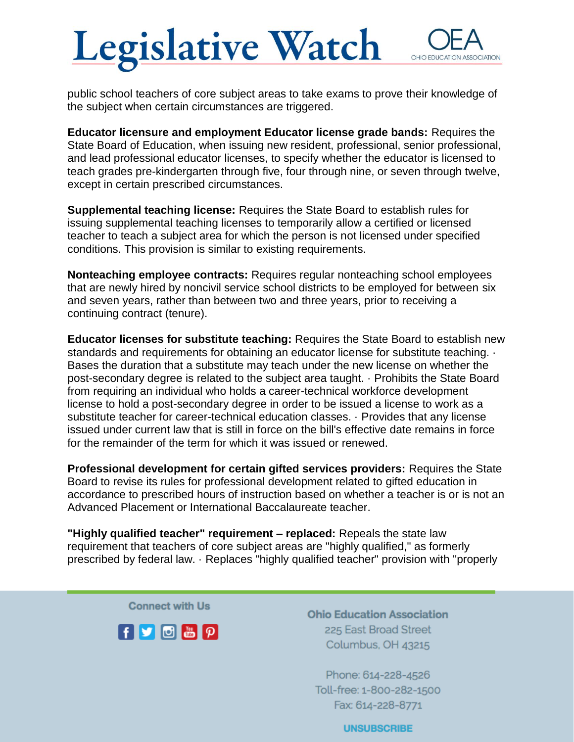## **Legislative Watch** OHIO EDUCA

public school teachers of core subject areas to take exams to prove their knowledge of the subject when certain circumstances are triggered.

**Educator licensure and employment Educator license grade bands:** Requires the State Board of Education, when issuing new resident, professional, senior professional, and lead professional educator licenses, to specify whether the educator is licensed to teach grades pre-kindergarten through five, four through nine, or seven through twelve, except in certain prescribed circumstances.

**Supplemental teaching license:** Requires the State Board to establish rules for issuing supplemental teaching licenses to temporarily allow a certified or licensed teacher to teach a subject area for which the person is not licensed under specified conditions. This provision is similar to existing requirements.

**Nonteaching employee contracts:** Requires regular nonteaching school employees that are newly hired by noncivil service school districts to be employed for between six and seven years, rather than between two and three years, prior to receiving a continuing contract (tenure).

**Educator licenses for substitute teaching:** Requires the State Board to establish new standards and requirements for obtaining an educator license for substitute teaching. · Bases the duration that a substitute may teach under the new license on whether the post-secondary degree is related to the subject area taught. · Prohibits the State Board from requiring an individual who holds a career-technical workforce development license to hold a post-secondary degree in order to be issued a license to work as a substitute teacher for career-technical education classes. · Provides that any license issued under current law that is still in force on the bill's effective date remains in force for the remainder of the term for which it was issued or renewed.

**Professional development for certain gifted services providers:** Requires the State Board to revise its rules for professional development related to gifted education in accordance to prescribed hours of instruction based on whether a teacher is or is not an Advanced Placement or International Baccalaureate teacher.

**"Highly qualified teacher" requirement – replaced:** Repeals the state law requirement that teachers of core subject areas are "highly qualified," as formerly prescribed by federal law. · Replaces "highly qualified teacher" provision with "properly

**Connect with Us** 



**Ohio Education Association** 225 East Broad Street Columbus, OH 43215

Phone: 614-228-4526 Toll-free: 1-800-282-1500 Fax: 614-228-8771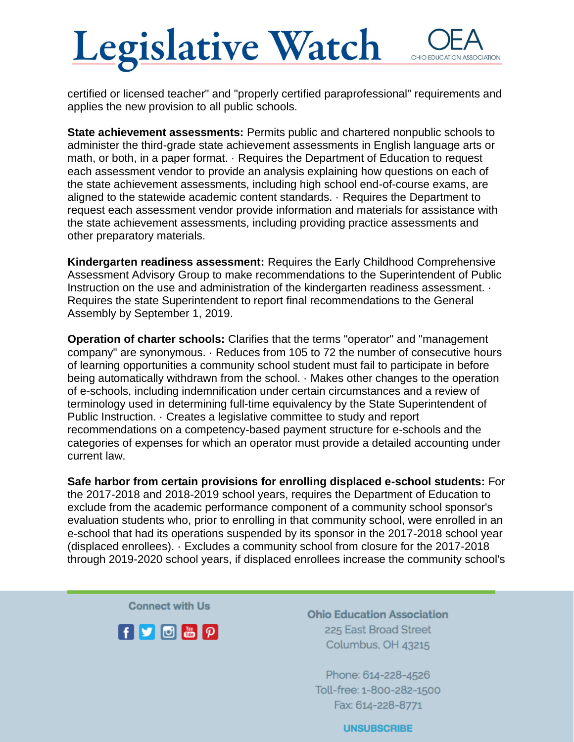## **Legislative Watch** OHIO EDUCAT

certified or licensed teacher" and "properly certified paraprofessional" requirements and applies the new provision to all public schools.

**State achievement assessments:** Permits public and chartered nonpublic schools to administer the third-grade state achievement assessments in English language arts or math, or both, in a paper format. · Requires the Department of Education to request each assessment vendor to provide an analysis explaining how questions on each of the state achievement assessments, including high school end-of-course exams, are aligned to the statewide academic content standards. · Requires the Department to request each assessment vendor provide information and materials for assistance with the state achievement assessments, including providing practice assessments and other preparatory materials.

**Kindergarten readiness assessment:** Requires the Early Childhood Comprehensive Assessment Advisory Group to make recommendations to the Superintendent of Public Instruction on the use and administration of the kindergarten readiness assessment.  $\cdot$ Requires the state Superintendent to report final recommendations to the General Assembly by September 1, 2019.

**Operation of charter schools:** Clarifies that the terms "operator" and "management company" are synonymous. · Reduces from 105 to 72 the number of consecutive hours of learning opportunities a community school student must fail to participate in before being automatically withdrawn from the school. · Makes other changes to the operation of e-schools, including indemnification under certain circumstances and a review of terminology used in determining full-time equivalency by the State Superintendent of Public Instruction. · Creates a legislative committee to study and report recommendations on a competency-based payment structure for e-schools and the categories of expenses for which an operator must provide a detailed accounting under current law.

**Safe harbor from certain provisions for enrolling displaced e-school students:** For the 2017-2018 and 2018-2019 school years, requires the Department of Education to exclude from the academic performance component of a community school sponsor's evaluation students who, prior to enrolling in that community school, were enrolled in an e-school that had its operations suspended by its sponsor in the 2017-2018 school year (displaced enrollees). · Excludes a community school from closure for the 2017-2018 through 2019-2020 school years, if displaced enrollees increase the community school's

**Connect with Us** 



**Ohio Education Association** 225 East Broad Street Columbus, OH 43215

Phone: 614-228-4526 Toll-free: 1-800-282-1500 Fax: 614-228-8771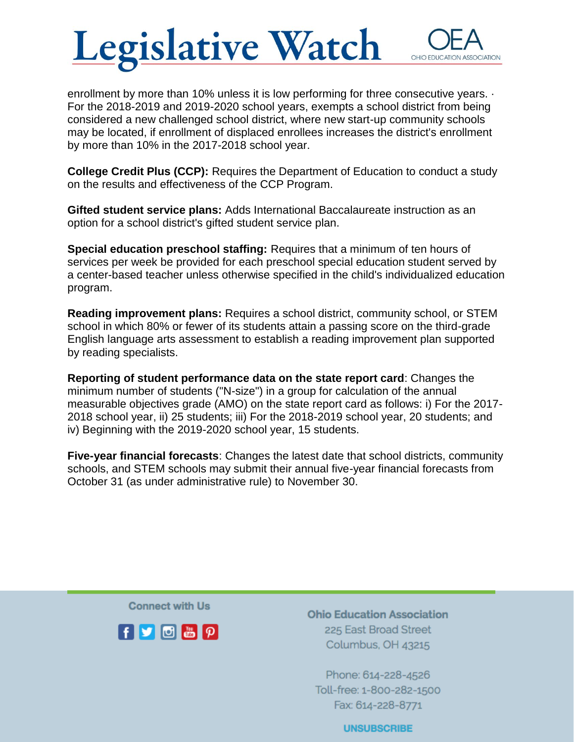## **Legislative Watch** OHIO EDUCAT

enrollment by more than 10% unless it is low performing for three consecutive years. · For the 2018-2019 and 2019-2020 school years, exempts a school district from being considered a new challenged school district, where new start-up community schools may be located, if enrollment of displaced enrollees increases the district's enrollment by more than 10% in the 2017-2018 school year.

**College Credit Plus (CCP):** Requires the Department of Education to conduct a study on the results and effectiveness of the CCP Program.

**Gifted student service plans:** Adds International Baccalaureate instruction as an option for a school district's gifted student service plan.

**Special education preschool staffing:** Requires that a minimum of ten hours of services per week be provided for each preschool special education student served by a center-based teacher unless otherwise specified in the child's individualized education program.

**Reading improvement plans:** Requires a school district, community school, or STEM school in which 80% or fewer of its students attain a passing score on the third-grade English language arts assessment to establish a reading improvement plan supported by reading specialists.

**Reporting of student performance data on the state report card**: Changes the minimum number of students ("N-size") in a group for calculation of the annual measurable objectives grade (AMO) on the state report card as follows: i) For the 2017- 2018 school year, ii) 25 students; iii) For the 2018-2019 school year, 20 students; and iv) Beginning with the 2019-2020 school year, 15 students.

**Five-year financial forecasts**: Changes the latest date that school districts, community schools, and STEM schools may submit their annual five-year financial forecasts from October 31 (as under administrative rule) to November 30.

**Connect with Us** 



**Ohio Education Association** 225 East Broad Street Columbus, OH 43215

Phone: 614-228-4526 Toll-free: 1-800-282-1500 Fax: 614-228-8771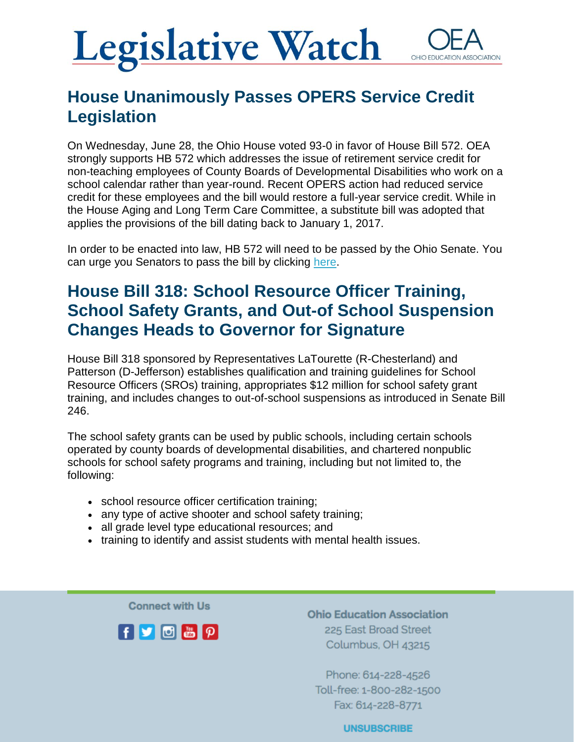## **Legislative Watch** OHIO EDUCATI

### **House Unanimously Passes OPERS Service Credit Legislation**

On Wednesday, June 28, the Ohio House voted 93-0 in favor of House Bill 572. OEA strongly supports HB 572 which addresses the issue of retirement service credit for non-teaching employees of County Boards of Developmental Disabilities who work on a school calendar rather than year-round. Recent OPERS action had reduced service credit for these employees and the bill would restore a full-year service credit. While in the House Aging and Long Term Care Committee, a substitute bill was adopted that applies the provisions of the bill dating back to January 1, 2017.

In order to be enacted into law, HB 572 will need to be passed by the Ohio Senate. You can urge you Senators to pass the bill by clicking [here.](https://www.ohea.org/actions/urge-legislators-fix-opers-service-credit-for-county-board-employees/)

### **House Bill 318: School Resource Officer Training, School Safety Grants, and Out-of School Suspension Changes Heads to Governor for Signature**

House Bill 318 sponsored by Representatives LaTourette (R-Chesterland) and Patterson (D-Jefferson) establishes qualification and training guidelines for School Resource Officers (SROs) training, appropriates \$12 million for school safety grant training, and includes changes to out-of-school suspensions as introduced in Senate Bill 246.

The school safety grants can be used by public schools, including certain schools operated by county boards of developmental disabilities, and chartered nonpublic schools for school safety programs and training, including but not limited to, the following:

- school resource officer certification training;
- any type of active shooter and school safety training;
- all grade level type educational resources; and
- training to identify and assist students with mental health issues.

**Connect with Us** 



**Ohio Education Association** 225 East Broad Street Columbus, OH 43215

Phone: 614-228-4526 Toll-free: 1-800-282-1500 Fax: 614-228-8771